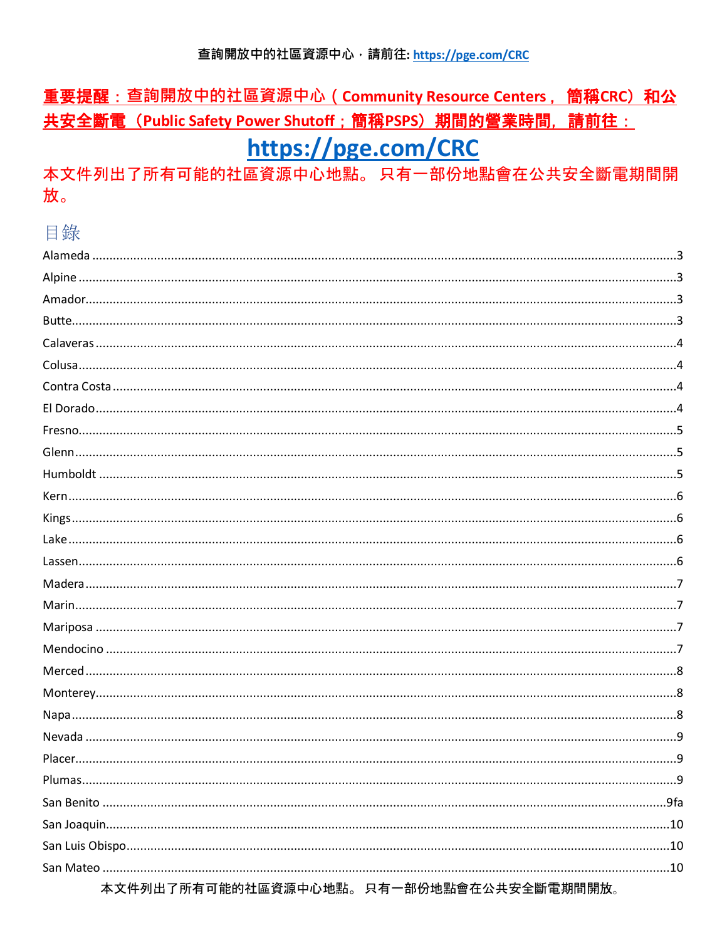# 重要提醒: 查詢開放中的社區資源中心 (Community Resource Centers, 簡稱CRC) 和公 共安全斷電 (Public Safety Power Shutoff; 簡稱PSPS) 期間的營業時間, 請前往: https://pge.com/CRC

本文件列出了所有可能的社區資源中心地點。只有一部份地點會在公共安全斷電期間開 放。

# 目錄

| <b>Plumas</b>                                                       | 9 |
|---------------------------------------------------------------------|---|
|                                                                     |   |
|                                                                     |   |
|                                                                     |   |
|                                                                     |   |
| ᆂᆇᄮᆱᇚᇹᇎᆂᆖᄴᇪᆇᇢᄻᄹᆂᇫᅹᄜᄕᆷᇦᆇᅠᇷᄭᅹᅖ <sup>ᇋ</sup> ᆇᄭᆂᇚᅌᆇᅄᇔᄙᄈᄜᄜ <del>ᄔ</del> |   |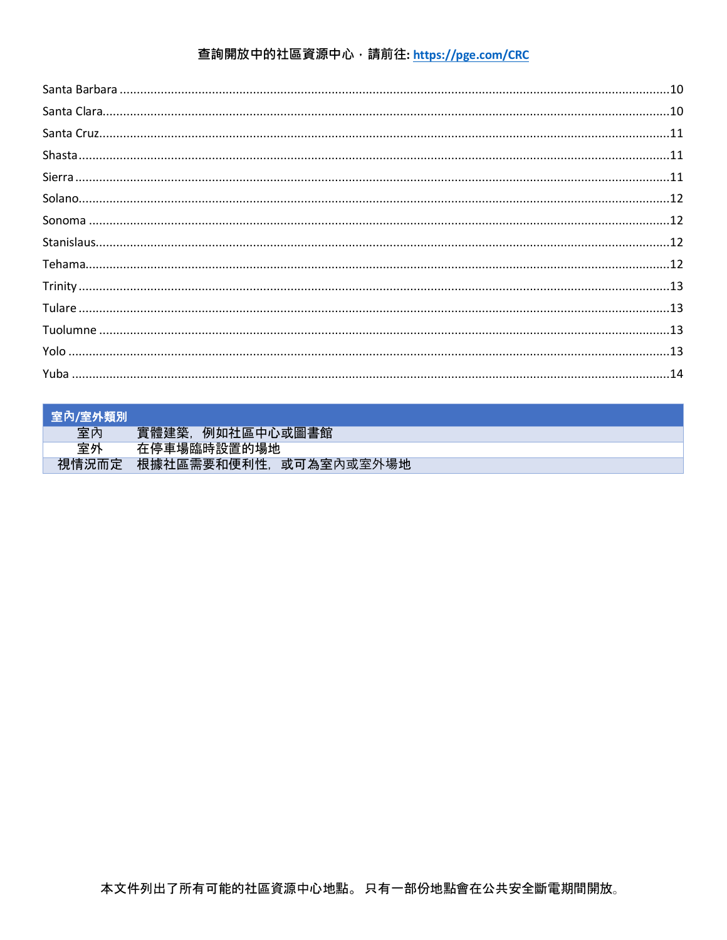| ┃ 室內/室外類別 |                       |
|-----------|-----------------------|
| 室內        | 實體建築,<br>例如社區中心或圖書館   |
| 室外        | 在停車場臨時設置的場地           |
| 視情況而定     | 根據社區需要和便利性,或可為室內或室外場地 |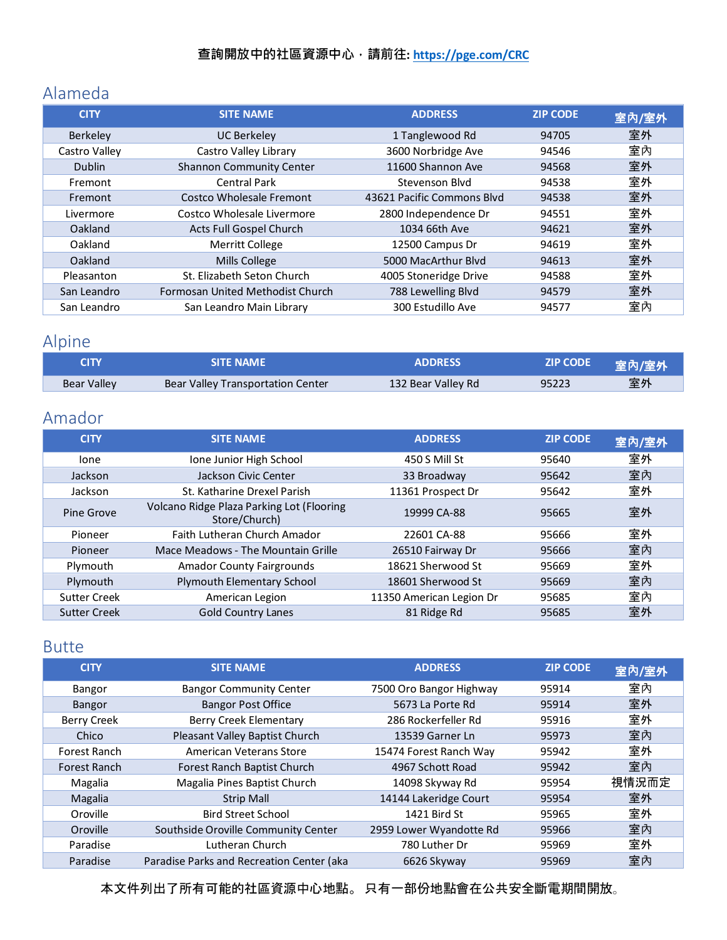## <span id="page-2-0"></span>Alameda

| <b>CITY</b>     | <b>SITE NAME</b>                 | <b>ADDRESS</b>             | <b>ZIP CODE</b> | 室內/室外 |
|-----------------|----------------------------------|----------------------------|-----------------|-------|
| <b>Berkeley</b> | <b>UC Berkeley</b>               | 1 Tanglewood Rd            | 94705           | 室外    |
| Castro Valley   | Castro Valley Library            | 3600 Norbridge Ave         | 94546           | 室內    |
| <b>Dublin</b>   | <b>Shannon Community Center</b>  | 11600 Shannon Ave          | 94568           | 室外    |
| Fremont         | <b>Central Park</b>              | Stevenson Blyd             | 94538           | 室外    |
| Fremont         | Costco Wholesale Fremont         | 43621 Pacific Commons Blvd | 94538           | 室外    |
| Livermore       | Costco Wholesale Livermore       | 2800 Independence Dr       | 94551           | 室外    |
| Oakland         | Acts Full Gospel Church          | 1034 66th Ave              | 94621           | 室外    |
| Oakland         | <b>Merritt College</b>           | 12500 Campus Dr            | 94619           | 室外    |
| Oakland         | <b>Mills College</b>             | 5000 MacArthur Blvd        | 94613           | 室外    |
| Pleasanton      | St. Elizabeth Seton Church       | 4005 Stoneridge Drive      | 94588           | 室外    |
| San Leandro     | Formosan United Methodist Church | 788 Lewelling Blvd         | 94579           | 室外    |
| San Leandro     | San Leandro Main Library         | 300 Estudillo Ave          | 94577           | 室內    |

# <span id="page-2-1"></span>Alpine

| <b>CITY</b> | <b>SITE NAME</b>                  | <b>ADDRESS</b>     | ZIP CODE | 室內/室外 |
|-------------|-----------------------------------|--------------------|----------|-------|
| Bear Valley | Bear Valley Transportation Center | 132 Bear Valley Rd | 95223    | 室外    |

# <span id="page-2-2"></span>Amador

| <b>CITY</b>         | <b>SITE NAME</b>                                           | <b>ADDRESS</b>           | <b>ZIP CODE</b> | 室內/室外 |
|---------------------|------------------------------------------------------------|--------------------------|-----------------|-------|
| lone                | Ione Junior High School                                    | 450 S Mill St            | 95640           | 室外    |
| Jackson             | Jackson Civic Center                                       | 33 Broadway              | 95642           | 室內    |
| Jackson             | St. Katharine Drexel Parish                                | 11361 Prospect Dr        | 95642           | 室外    |
| Pine Grove          | Volcano Ridge Plaza Parking Lot (Flooring<br>Store/Church) | 19999 CA-88              | 95665           | 室外    |
| Pioneer             | Faith Lutheran Church Amador                               | 22601 CA-88              | 95666           | 室外    |
| Pioneer             | Mace Meadows - The Mountain Grille                         | 26510 Fairway Dr         | 95666           | 室內    |
| Plymouth            | <b>Amador County Fairgrounds</b>                           | 18621 Sherwood St        | 95669           | 室外    |
| Plymouth            | Plymouth Elementary School                                 | 18601 Sherwood St        | 95669           | 室內    |
| <b>Sutter Creek</b> | American Legion                                            | 11350 American Legion Dr | 95685           | 室內    |
| <b>Sutter Creek</b> | <b>Gold Country Lanes</b>                                  | 81 Ridge Rd              | 95685           | 室外    |

### <span id="page-2-3"></span>Butte

| <b>CITY</b>        | <b>SITE NAME</b>                          | <b>ADDRESS</b>          | <b>ZIP CODE</b> | 室內/室外 |
|--------------------|-------------------------------------------|-------------------------|-----------------|-------|
| Bangor             | <b>Bangor Community Center</b>            | 7500 Oro Bangor Highway | 95914           | 室內    |
| Bangor             | <b>Bangor Post Office</b>                 | 5673 La Porte Rd        | 95914           | 室外    |
| <b>Berry Creek</b> | Berry Creek Elementary                    | 286 Rockerfeller Rd     | 95916           | 室外    |
| Chico              | Pleasant Valley Baptist Church            | 13539 Garner Ln         | 95973           | 室內    |
| Forest Ranch       | American Veterans Store                   | 15474 Forest Ranch Way  | 95942           | 室外    |
| Forest Ranch       | Forest Ranch Baptist Church               | 4967 Schott Road        | 95942           | 室內    |
| Magalia            | Magalia Pines Baptist Church              | 14098 Skyway Rd         | 95954           | 視情況而定 |
| Magalia            | <b>Strip Mall</b>                         | 14144 Lakeridge Court   | 95954           | 室外    |
| Oroville           | <b>Bird Street School</b>                 | 1421 Bird St            | 95965           | 室外    |
| Oroville           | Southside Oroville Community Center       | 2959 Lower Wyandotte Rd | 95966           | 室內    |
| Paradise           | Lutheran Church                           | 780 Luther Dr           | 95969           | 室外    |
| Paradise           | Paradise Parks and Recreation Center (aka | 6626 Skyway             | 95969           | 室內    |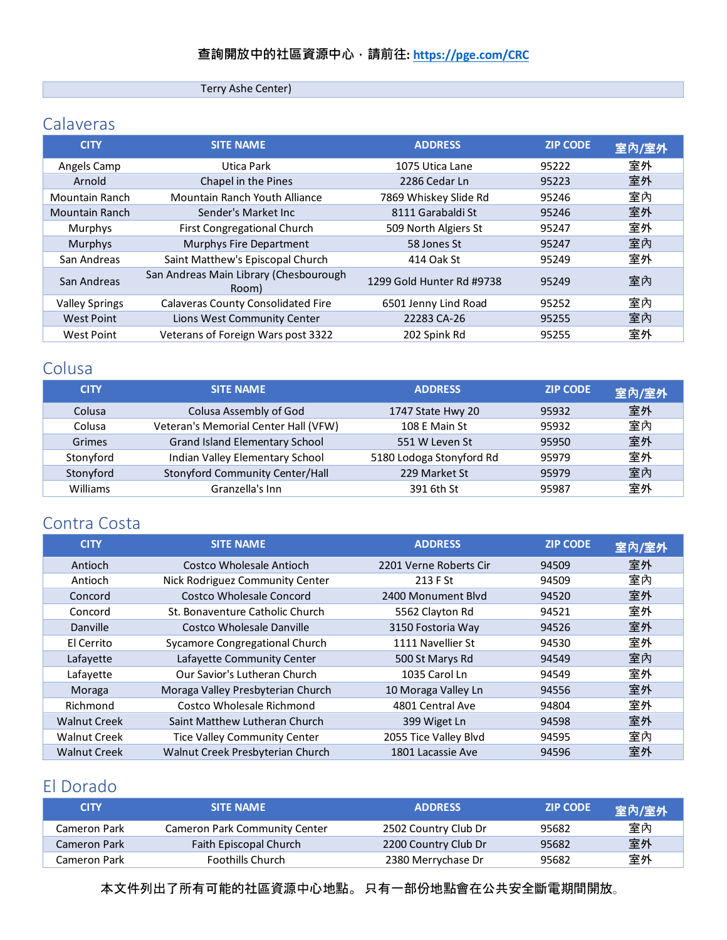Terry Ashe Center)

## <span id="page-3-0"></span>Calaveras

| <b>CITY</b>           | <b>SITE NAME</b>                                | <b>ADDRESS</b>            | <b>ZIP CODE</b> | 室內/室外 |
|-----------------------|-------------------------------------------------|---------------------------|-----------------|-------|
| Angels Camp           | Utica Park                                      | 1075 Utica Lane           | 95222           | 室外    |
| Arnold                | Chapel in the Pines                             | 2286 Cedar Ln             | 95223           | 室外    |
| Mountain Ranch        | Mountain Ranch Youth Alliance                   | 7869 Whiskey Slide Rd     | 95246           | 室內    |
| <b>Mountain Ranch</b> | Sender's Market Inc.                            | 8111 Garabaldi St         | 95246           | 室外    |
| Murphys               | First Congregational Church                     | 509 North Algiers St      | 95247           | 室外    |
| Murphys               | Murphys Fire Department                         | 58 Jones St               | 95247           | 室內    |
| San Andreas           | Saint Matthew's Episcopal Church                | 414 Oak St                | 95249           | 室外    |
| San Andreas           | San Andreas Main Library (Chesbourough<br>Room) | 1299 Gold Hunter Rd #9738 | 95249           | 室內    |
| <b>Valley Springs</b> | <b>Calaveras County Consolidated Fire</b>       | 6501 Jenny Lind Road      | 95252           | 室內    |
| <b>West Point</b>     | Lions West Community Center                     | 22283 CA-26               | 95255           | 室內    |
| <b>West Point</b>     | Veterans of Foreign Wars post 3322              | 202 Spink Rd              | 95255           | 室外    |

## <span id="page-3-1"></span>Colusa

| <b>CITY</b> | <b>SITE NAME</b>                     | <b>ADDRESS</b>           | <b>ZIP CODE</b> | 室內/室外 |
|-------------|--------------------------------------|--------------------------|-----------------|-------|
| Colusa      | Colusa Assembly of God               | 1747 State Hwy 20        | 95932           | 室外    |
| Colusa      | Veteran's Memorial Center Hall (VFW) | 108 E Main St            | 95932           | 室內    |
| Grimes      | Grand Island Elementary School       | 551 W Leven St           | 95950           | 室外    |
| Stonyford   | Indian Valley Elementary School      | 5180 Lodoga Stonyford Rd | 95979           | 室外    |
| Stonyford   | Stonyford Community Center/Hall      | 229 Market St            | 95979           | 室內    |
| Williams    | Granzella's Inn                      | 391 6th St               | 95987           | 室外    |

## <span id="page-3-2"></span>Contra Costa

| <b>CITY</b>         | <b>SITE NAME</b>                    | <b>ADDRESS</b>         | <b>ZIP CODE</b> | 室內/室外 |
|---------------------|-------------------------------------|------------------------|-----------------|-------|
| Antioch             | Costco Wholesale Antioch            | 2201 Verne Roberts Cir | 94509           | 室外    |
| Antioch             | Nick Rodriguez Community Center     | 213 F St               | 94509           | 室內    |
| Concord             | <b>Costco Wholesale Concord</b>     | 2400 Monument Blyd     | 94520           | 室外    |
| Concord             | St. Bonaventure Catholic Church     | 5562 Clayton Rd        | 94521           | 室外    |
| Danville            | Costco Wholesale Danville           | 3150 Fostoria Way      | 94526           | 室外    |
| El Cerrito          | Sycamore Congregational Church      | 1111 Navellier St      | 94530           | 室外    |
| Lafayette           | Lafayette Community Center          | 500 St Marys Rd        | 94549           | 室內    |
| Lafayette           | Our Savior's Lutheran Church        | 1035 Carol Ln          | 94549           | 室外    |
| Moraga              | Moraga Valley Presbyterian Church   | 10 Moraga Valley Ln    | 94556           | 室外    |
| Richmond            | Costco Wholesale Richmond           | 4801 Central Ave       | 94804           | 室外    |
| <b>Walnut Creek</b> | Saint Matthew Lutheran Church       | 399 Wiget Ln           | 94598           | 室外    |
| <b>Walnut Creek</b> | <b>Tice Valley Community Center</b> | 2055 Tice Valley Blvd  | 94595           | 室內    |
| <b>Walnut Creek</b> | Walnut Creek Presbyterian Church    | 1801 Lacassie Ave      | 94596           | 室外    |

## <span id="page-3-3"></span>El Dorado

| <b>CITY</b>  | <b>SITE NAME</b>              | <b>ADDRESS</b>       | <b>ZIP CODE</b> | 室內/室外 |
|--------------|-------------------------------|----------------------|-----------------|-------|
| Cameron Park | Cameron Park Community Center | 2502 Country Club Dr | 95682           | 室內    |
| Cameron Park | Faith Episcopal Church        | 2200 Country Club Dr | 95682           | 室外    |
| Cameron Park | <b>Foothills Church</b>       | 2380 Merrychase Dr   | 95682           | 室外    |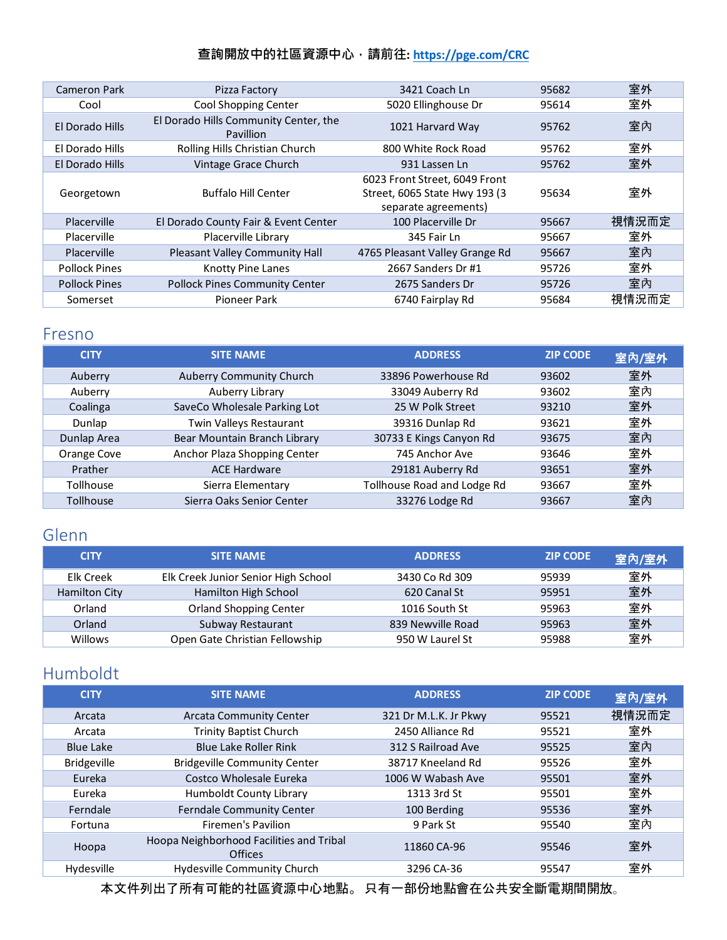| Cameron Park         | Pizza Factory                                             | 3421 Coach Ln                                                                           | 95682 | 室外    |
|----------------------|-----------------------------------------------------------|-----------------------------------------------------------------------------------------|-------|-------|
| Cool                 | Cool Shopping Center                                      | 5020 Ellinghouse Dr                                                                     | 95614 | 室外    |
| El Dorado Hills      | El Dorado Hills Community Center, the<br><b>Pavillion</b> | 1021 Harvard Way                                                                        | 95762 | 室內    |
| El Dorado Hills      | Rolling Hills Christian Church                            | 800 White Rock Road                                                                     | 95762 | 室外    |
| El Dorado Hills      | Vintage Grace Church                                      | 931 Lassen Ln                                                                           | 95762 | 室外    |
| Georgetown           | <b>Buffalo Hill Center</b>                                | 6023 Front Street, 6049 Front<br>Street, 6065 State Hwy 193 (3)<br>separate agreements) | 95634 | 室外    |
| Placerville          | El Dorado County Fair & Event Center                      | 100 Placerville Dr                                                                      | 95667 | 視情況而定 |
| Placerville          | Placerville Library                                       | 345 Fair Ln                                                                             | 95667 | 室外    |
| Placerville          | Pleasant Valley Community Hall                            | 4765 Pleasant Valley Grange Rd                                                          | 95667 | 室內    |
| <b>Pollock Pines</b> | <b>Knotty Pine Lanes</b>                                  | 2667 Sanders Dr #1                                                                      | 95726 | 室外    |
| <b>Pollock Pines</b> | <b>Pollock Pines Community Center</b>                     | 2675 Sanders Dr                                                                         | 95726 | 室內    |
| Somerset             | Pioneer Park                                              | 6740 Fairplay Rd                                                                        | 95684 | 視情況而定 |

#### <span id="page-4-0"></span>Fresno

| <b>CITY</b>      | <b>SITE NAME</b>             | <b>ADDRESS</b>              | <b>ZIP CODE</b> | 室內/室外 |
|------------------|------------------------------|-----------------------------|-----------------|-------|
| Auberry          | Auberry Community Church     | 33896 Powerhouse Rd         | 93602           | 室外    |
| Auberry          | Auberry Library              | 33049 Auberry Rd            | 93602           | 室內    |
| Coalinga         | SaveCo Wholesale Parking Lot | 25 W Polk Street            | 93210           | 室外    |
| Dunlap           | Twin Valleys Restaurant      | 39316 Dunlap Rd             | 93621           | 室外    |
| Dunlap Area      | Bear Mountain Branch Library | 30733 E Kings Canyon Rd     | 93675           | 室內    |
| Orange Cove      | Anchor Plaza Shopping Center | 745 Anchor Ave              | 93646           | 室外    |
| Prather          | <b>ACE Hardware</b>          | 29181 Auberry Rd            | 93651           | 室外    |
| Tollhouse        | Sierra Elementary            | Tollhouse Road and Lodge Rd | 93667           | 室外    |
| <b>Tollhouse</b> | Sierra Oaks Senior Center    | 33276 Lodge Rd              | 93667           | 室內    |

## <span id="page-4-1"></span>Glenn

| <b>CITY</b>   | <b>SITE NAME</b>                    | <b>ADDRESS</b>    | <b>ZIP CODE</b> | 室內/室外 |
|---------------|-------------------------------------|-------------------|-----------------|-------|
| Elk Creek     | Elk Creek Junior Senior High School | 3430 Co Rd 309    | 95939           | 室外    |
| Hamilton City | Hamilton High School                | 620 Canal St      | 95951           | 室外    |
| Orland        | <b>Orland Shopping Center</b>       | 1016 South St     | 95963           | 室外    |
| Orland        | Subway Restaurant                   | 839 Newville Road | 95963           | 室外    |
| Willows       | Open Gate Christian Fellowship      | 950 W Laurel St   | 95988           | 室外    |

### <span id="page-4-2"></span>Humboldt

| <b>CITY</b>        | <b>SITE NAME</b>                                    | <b>ADDRESS</b>        | <b>ZIP CODE</b> | 室內/室外 |
|--------------------|-----------------------------------------------------|-----------------------|-----------------|-------|
| Arcata             | <b>Arcata Community Center</b>                      | 321 Dr M.L.K. Jr Pkwy | 95521           | 視情況而定 |
| Arcata             | <b>Trinity Baptist Church</b>                       | 2450 Alliance Rd      | 95521           | 室外    |
| <b>Blue Lake</b>   | Blue Lake Roller Rink                               | 312 S Railroad Ave    | 95525           | 室內    |
| <b>Bridgeville</b> | <b>Bridgeville Community Center</b>                 | 38717 Kneeland Rd     | 95526           | 室外    |
| Eureka             | Costco Wholesale Eureka                             | 1006 W Wabash Ave     | 95501           | 室外    |
| Eureka             | Humboldt County Library                             | 1313 3rd St           | 95501           | 室外    |
| Ferndale           | Ferndale Community Center                           | 100 Berding           | 95536           | 室外    |
| Fortuna            | Firemen's Pavilion                                  | 9 Park St             | 95540           | 室內    |
| Hoopa              | Hoopa Neighborhood Facilities and Tribal<br>Offices | 11860 CA-96           | 95546           | 室外    |
| Hydesville         | Hydesville Community Church                         | 3296 CA-36            | 95547           | 室外    |
|                    |                                                     |                       |                 |       |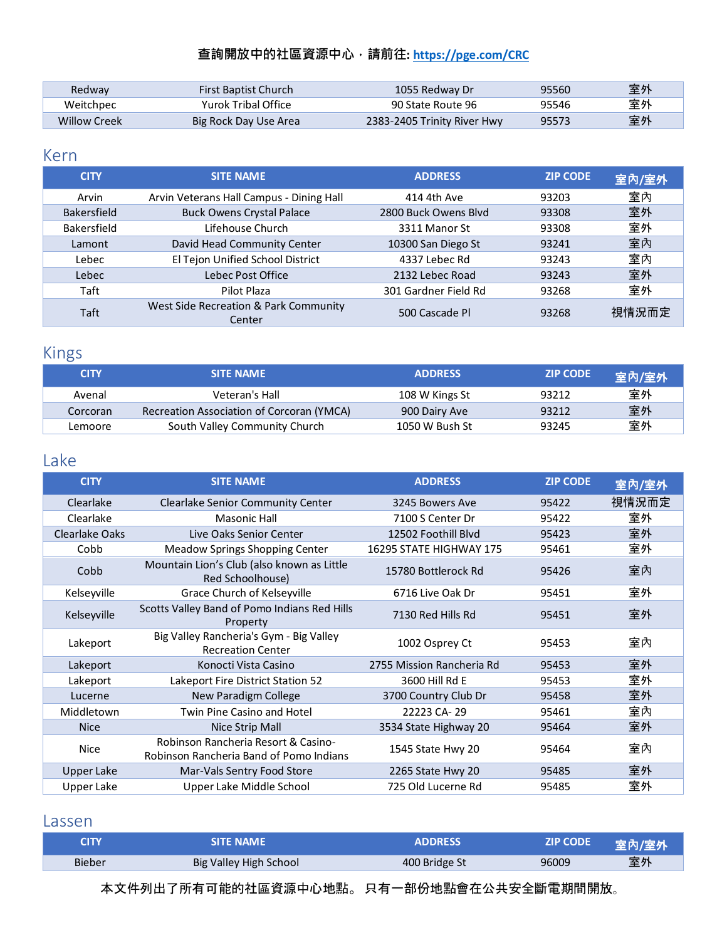| Redway       | <b>First Baptist Church</b> | 1055 Redway Dr              | 95560 | 室外 |
|--------------|-----------------------------|-----------------------------|-------|----|
| Weitchpec    | Yurok Tribal Office         | 90 State Route 96           | 95546 | 室外 |
| Willow Creek | Big Rock Day Use Area       | 2383-2405 Trinity River Hwy | 95573 | 室外 |

#### <span id="page-5-0"></span>Kern

| <b>CITY</b>        | <b>SITE NAME</b>                                | <b>ADDRESS</b>       | <b>ZIP CODE</b> | 室內/室外 |
|--------------------|-------------------------------------------------|----------------------|-----------------|-------|
| Arvin              | Arvin Veterans Hall Campus - Dining Hall        | 414 4th Ave          | 93203           | 室內    |
| <b>Bakersfield</b> | <b>Buck Owens Crystal Palace</b>                | 2800 Buck Owens Blyd | 93308           | 室外    |
| Bakersfield        | Lifehouse Church                                | 3311 Manor St        | 93308           | 室外    |
| Lamont             | David Head Community Center                     | 10300 San Diego St   | 93241           | 室內    |
| Lebec              | El Tejon Unified School District                | 4337 Lebec Rd        | 93243           | 室內    |
| Lebec              | Lebec Post Office                               | 2132 Lebec Road      | 93243           | 室外    |
| Taft               | Pilot Plaza                                     | 301 Gardner Field Rd | 93268           | 室外    |
| Taft               | West Side Recreation & Park Community<br>Center | 500 Cascade Pl       | 93268           | 視情況而定 |

# <span id="page-5-1"></span>Kings

| <b>CITY</b> | <b>SITE NAME</b>                          | <b>ADDRESS</b> | <b>ZIP CODE</b> | 室內/室外 |
|-------------|-------------------------------------------|----------------|-----------------|-------|
| Avenal      | Veteran's Hall                            | 108 W Kings St | 93212           | 室外    |
| Corcoran    | Recreation Association of Corcoran (YMCA) | 900 Dairy Ave  | 93212           | 室外    |
| Lemoore     | South Valley Community Church             | 1050 W Bush St | 93245           | 室外    |

## <span id="page-5-2"></span>Lake

| <b>CITY</b>           | <b>SITE NAME</b>                                                               | <b>ADDRESS</b>            | <b>ZIP CODE</b> | 室內/室外 |
|-----------------------|--------------------------------------------------------------------------------|---------------------------|-----------------|-------|
| Clearlake             | Clearlake Senior Community Center                                              | 3245 Bowers Ave           | 95422           | 視情況而定 |
| Clearlake             | <b>Masonic Hall</b>                                                            | 7100 S Center Dr          | 95422           | 室外    |
| <b>Clearlake Oaks</b> | Live Oaks Senior Center                                                        | 12502 Foothill Blvd       | 95423           | 室外    |
| Cobb                  | Meadow Springs Shopping Center                                                 | 16295 STATE HIGHWAY 175   | 95461           | 室外    |
| Cobb                  | Mountain Lion's Club (also known as Little<br>Red Schoolhouse)                 | 15780 Bottlerock Rd       | 95426           | 室內    |
| Kelseyville           | Grace Church of Kelseyville                                                    | 6716 Live Oak Dr          | 95451           | 室外    |
| Kelseyville           | Scotts Valley Band of Pomo Indians Red Hills<br>Property                       | 7130 Red Hills Rd         | 95451           | 室外    |
| Lakeport              | Big Valley Rancheria's Gym - Big Valley<br><b>Recreation Center</b>            | 1002 Osprey Ct            | 95453           | 室內    |
| Lakeport              | Konocti Vista Casino                                                           | 2755 Mission Rancheria Rd | 95453           | 室外    |
| Lakeport              | Lakeport Fire District Station 52                                              | 3600 Hill Rd E            | 95453           | 室外    |
| Lucerne               | New Paradigm College                                                           | 3700 Country Club Dr      | 95458           | 室外    |
| Middletown            | Twin Pine Casino and Hotel                                                     | 22223 CA-29               | 95461           | 室內    |
| <b>Nice</b>           | Nice Strip Mall                                                                | 3534 State Highway 20     | 95464           | 室外    |
| <b>Nice</b>           | Robinson Rancheria Resort & Casino-<br>Robinson Rancheria Band of Pomo Indians | 1545 State Hwy 20         | 95464           | 室內    |
| <b>Upper Lake</b>     | Mar-Vals Sentry Food Store                                                     | 2265 State Hwy 20         | 95485           | 室外    |
| <b>Upper Lake</b>     | Upper Lake Middle School                                                       | 725 Old Lucerne Rd        | 95485           | 室外    |

#### <span id="page-5-3"></span>Lassen

| <b>CITY</b>   | <b>SITE NAME</b>       | <b>ADDRESS</b> | <b>ZIP CODE</b> | 室內/室外 |
|---------------|------------------------|----------------|-----------------|-------|
| <b>Bieber</b> | Big Valley High School | 400 Bridge St  | 96009           | 室外    |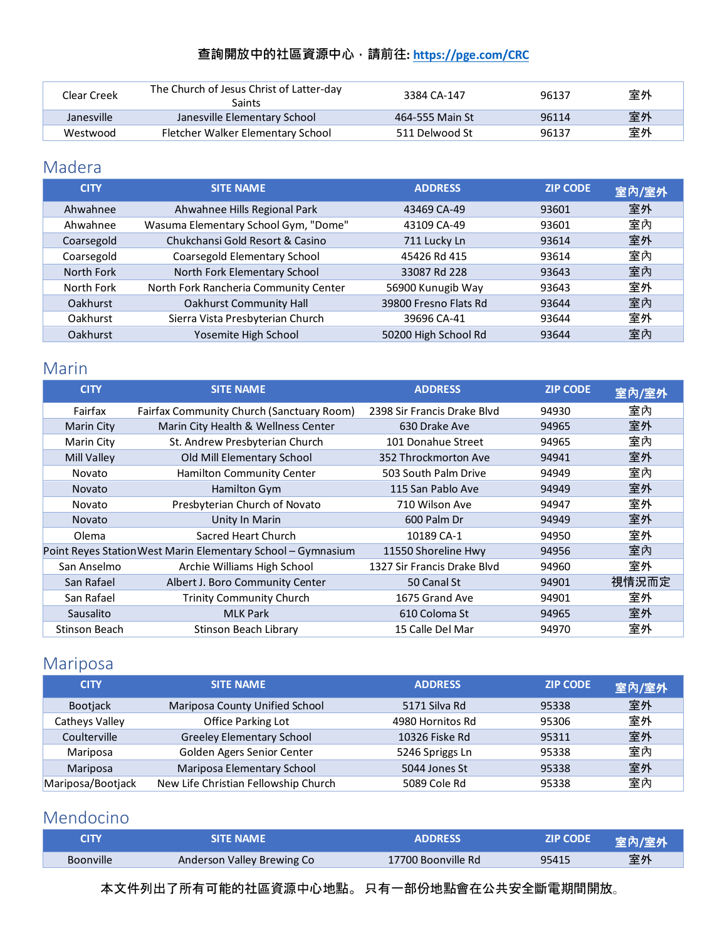| Clear Creek | The Church of Jesus Christ of Latter-day<br>Saints | 3384 CA-147     | 96137 | 室外 |
|-------------|----------------------------------------------------|-----------------|-------|----|
| Janesville  | Janesville Elementary School                       | 464-555 Main St | 96114 | 室外 |
| Westwood    | Fletcher Walker Elementary School                  | 511 Delwood St  | 96137 | 室外 |

## <span id="page-6-0"></span>Madera

| <b>CITY</b>     | <b>SITE NAME</b>                      | <b>ADDRESS</b>        | <b>ZIP CODE</b> | 室內/室外 |
|-----------------|---------------------------------------|-----------------------|-----------------|-------|
| Ahwahnee        | Ahwahnee Hills Regional Park          | 43469 CA-49           | 93601           | 室外    |
| Ahwahnee        | Wasuma Elementary School Gym, "Dome"  | 43109 CA-49           | 93601           | 室內    |
| Coarsegold      | Chukchansi Gold Resort & Casino       | 711 Lucky Ln          | 93614           | 室外    |
| Coarsegold      | Coarsegold Elementary School          | 45426 Rd 415          | 93614           | 室內    |
| North Fork      | North Fork Elementary School          | 33087 Rd 228          | 93643           | 室內    |
| North Fork      | North Fork Rancheria Community Center | 56900 Kunugib Way     | 93643           | 室外    |
| <b>Oakhurst</b> | <b>Oakhurst Community Hall</b>        | 39800 Fresno Flats Rd | 93644           | 室內    |
| Oakhurst        | Sierra Vista Presbyterian Church      | 39696 CA-41           | 93644           | 室外    |
| Oakhurst        | Yosemite High School                  | 50200 High School Rd  | 93644           | 室內    |

## <span id="page-6-1"></span>Marin

| <b>CITY</b>       | <b>SITE NAME</b>                                             | <b>ADDRESS</b>              | <b>ZIP CODE</b> | 室內/室外 |
|-------------------|--------------------------------------------------------------|-----------------------------|-----------------|-------|
| Fairfax           | Fairfax Community Church (Sanctuary Room)                    | 2398 Sir Francis Drake Blyd | 94930           | 室內    |
| <b>Marin City</b> | Marin City Health & Wellness Center                          | 630 Drake Ave               | 94965           | 室外    |
| Marin City        | St. Andrew Presbyterian Church                               | 101 Donahue Street          | 94965           | 室內    |
| Mill Valley       | Old Mill Elementary School                                   | 352 Throckmorton Ave        | 94941           | 室外    |
| Novato            | Hamilton Community Center                                    | 503 South Palm Drive        | 94949           | 室內    |
| <b>Novato</b>     | Hamilton Gym                                                 | 115 San Pablo Ave           | 94949           | 室外    |
| Novato            | Presbyterian Church of Novato                                | 710 Wilson Ave              | 94947           | 室外    |
| <b>Novato</b>     | Unity In Marin                                               | 600 Palm Dr                 | 94949           | 室外    |
| Olema             | Sacred Heart Church                                          | 10189 CA-1                  | 94950           | 室外    |
|                   | Point Reyes Station West Marin Elementary School - Gymnasium | 11550 Shoreline Hwy         | 94956           | 室內    |
| San Anselmo       | Archie Williams High School                                  | 1327 Sir Francis Drake Blyd | 94960           | 室外    |
| San Rafael        | Albert J. Boro Community Center                              | 50 Canal St                 | 94901           | 視情況而定 |
| San Rafael        | <b>Trinity Community Church</b>                              | 1675 Grand Ave              | 94901           | 室外    |
| Sausalito         | <b>MLK Park</b>                                              | 610 Coloma St               | 94965           | 室外    |
| Stinson Beach     | Stinson Beach Library                                        | 15 Calle Del Mar            | 94970           | 室外    |

# <span id="page-6-2"></span>Mariposa

| <b>CITY</b>       | <b>SITE NAME</b>                     | <b>ADDRESS</b>   | <b>ZIP CODE</b> | 室內/室外 |
|-------------------|--------------------------------------|------------------|-----------------|-------|
| <b>Bootjack</b>   | Mariposa County Unified School       | 5171 Silva Rd    | 95338           | 室外    |
| Catheys Valley    | Office Parking Lot                   | 4980 Hornitos Rd | 95306           | 室外    |
| Coulterville      | <b>Greeley Elementary School</b>     | 10326 Fiske Rd   | 95311           | 室外    |
| Mariposa          | Golden Agers Senior Center           | 5246 Spriggs Ln  | 95338           | 室內    |
| Mariposa          | Mariposa Elementary School           | 5044 Jones St    | 95338           | 室外    |
| Mariposa/Bootjack | New Life Christian Fellowship Church | 5089 Cole Rd     | 95338           | 室內    |

# <span id="page-6-3"></span>Mendocino

| CITY             | SITE NAME                  | <b>ADDRESS</b>     | ZIP CODE | 室內/室外 |
|------------------|----------------------------|--------------------|----------|-------|
| <b>Boonville</b> | Anderson Valley Brewing Co | 17700 Boonville Rd | 95415    | 室外    |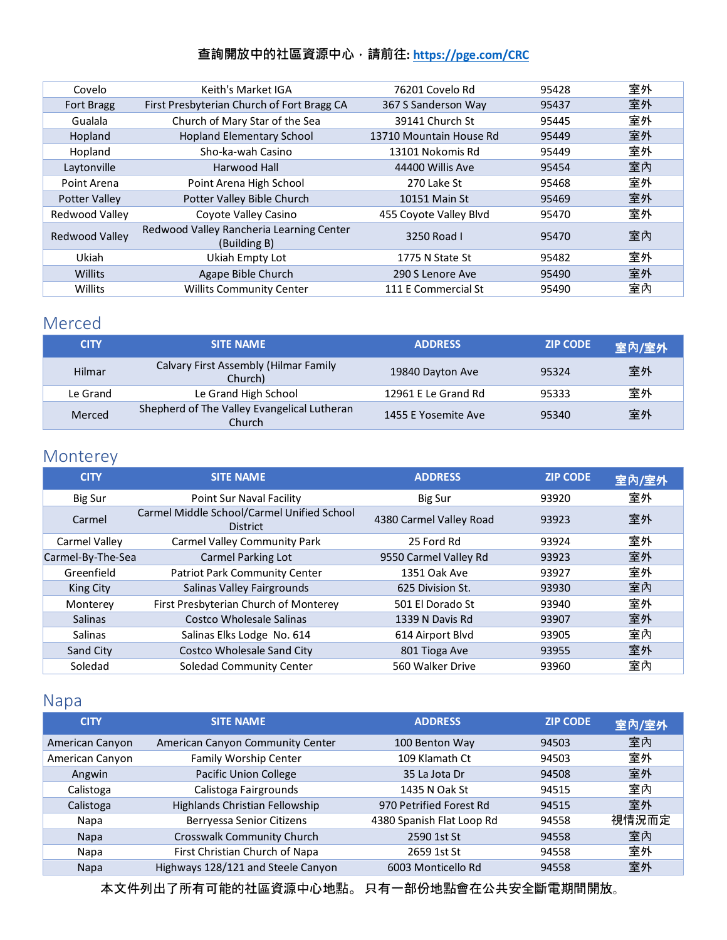| Covelo                | Keith's Market IGA                                       | 76201 Covelo Rd         | 95428 | 室外 |
|-----------------------|----------------------------------------------------------|-------------------------|-------|----|
| <b>Fort Bragg</b>     | First Presbyterian Church of Fort Bragg CA               | 367 S Sanderson Way     | 95437 | 室外 |
| Gualala               | Church of Mary Star of the Sea                           | 39141 Church St         | 95445 | 室外 |
| Hopland               | <b>Hopland Elementary School</b>                         | 13710 Mountain House Rd | 95449 | 室外 |
| Hopland               | Sho-ka-wah Casino                                        | 13101 Nokomis Rd        | 95449 | 室外 |
| Laytonville           | Harwood Hall                                             | 44400 Willis Ave        | 95454 | 室内 |
| Point Arena           | Point Arena High School                                  | 270 Lake St             | 95468 | 室外 |
| <b>Potter Valley</b>  | Potter Valley Bible Church                               | 10151 Main St           | 95469 | 室外 |
| Redwood Valley        | Coyote Valley Casino                                     | 455 Coyote Valley Blvd  | 95470 | 室外 |
| <b>Redwood Valley</b> | Redwood Valley Rancheria Learning Center<br>(Building B) | 3250 Road L             | 95470 | 室內 |
| Ukiah                 | Ukiah Empty Lot                                          | 1775 N State St         | 95482 | 室外 |
| Willits               | Agape Bible Church                                       | 290 S Lenore Ave        | 95490 | 室外 |
| Willits               | <b>Willits Community Center</b>                          | 111 E Commercial St     | 95490 | 室內 |

#### <span id="page-7-0"></span>Merced

| <b>CITY</b> | <b>SITE NAME</b>                                             | <b>ADDRESS</b>      | <b>ZIP CODE</b> | 室內/室外 |
|-------------|--------------------------------------------------------------|---------------------|-----------------|-------|
| Hilmar      | Calvary First Assembly (Hilmar Family<br>Church)             | 19840 Dayton Ave    | 95324           | 室外    |
| Le Grand    | Le Grand High School                                         | 12961 E Le Grand Rd | 95333           | 室外    |
| Merced      | Shepherd of The Valley Evangelical Lutheran<br><b>Church</b> | 1455 E Yosemite Ave | 95340           | 室外    |

# <span id="page-7-1"></span>Monterey

| <b>CITY</b>       | <b>SITE NAME</b>                                              | <b>ADDRESS</b>          | <b>ZIP CODE</b> | 室內/室外 |
|-------------------|---------------------------------------------------------------|-------------------------|-----------------|-------|
| Big Sur           | Point Sur Naval Facility                                      | Big Sur                 | 93920           | 室外    |
| Carmel            | Carmel Middle School/Carmel Unified School<br><b>District</b> | 4380 Carmel Valley Road | 93923           | 室外    |
| Carmel Valley     | <b>Carmel Valley Community Park</b>                           | 25 Ford Rd              | 93924           | 室外    |
| Carmel-By-The-Sea | <b>Carmel Parking Lot</b>                                     | 9550 Carmel Valley Rd   | 93923           | 室外    |
| Greenfield        | <b>Patriot Park Community Center</b>                          | 1351 Oak Ave            | 93927           | 室外    |
| King City         | Salinas Valley Fairgrounds                                    | 625 Division St.        | 93930           | 室內    |
| Monterey          | First Presbyterian Church of Monterey                         | 501 El Dorado St        | 93940           | 室外    |
| <b>Salinas</b>    | Costco Wholesale Salinas                                      | 1339 N Davis Rd         | 93907           | 室外    |
| Salinas           | Salinas Elks Lodge No. 614                                    | 614 Airport Blvd        | 93905           | 室內    |
| Sand City         | <b>Costco Wholesale Sand City</b>                             | 801 Tioga Ave           | 93955           | 室外    |
| Soledad           | Soledad Community Center                                      | 560 Walker Drive        | 93960           | 室內    |

# <span id="page-7-2"></span>Napa

| <b>CITY</b>     | <b>SITE NAME</b>                   | <b>ADDRESS</b>            | <b>ZIP CODE</b> | 室內/室外 |
|-----------------|------------------------------------|---------------------------|-----------------|-------|
| American Canyon | American Canyon Community Center   | 100 Benton Way            | 94503           | 室內    |
| American Canyon | Family Worship Center              | 109 Klamath Ct            | 94503           | 室外    |
| Angwin          | <b>Pacific Union College</b>       | 35 La Jota Dr             | 94508           | 室外    |
| Calistoga       | Calistoga Fairgrounds              | 1435 N Oak St             | 94515           | 室內    |
| Calistoga       | Highlands Christian Fellowship     | 970 Petrified Forest Rd   | 94515           | 室外    |
| Napa            | Berryessa Senior Citizens          | 4380 Spanish Flat Loop Rd | 94558           | 視情況而定 |
| <b>Napa</b>     | Crosswalk Community Church         | 2590 1st St               | 94558           | 室內    |
| Napa            | First Christian Church of Napa     | 2659 1st St               | 94558           | 室外    |
| <b>Napa</b>     | Highways 128/121 and Steele Canyon | 6003 Monticello Rd        | 94558           | 室外    |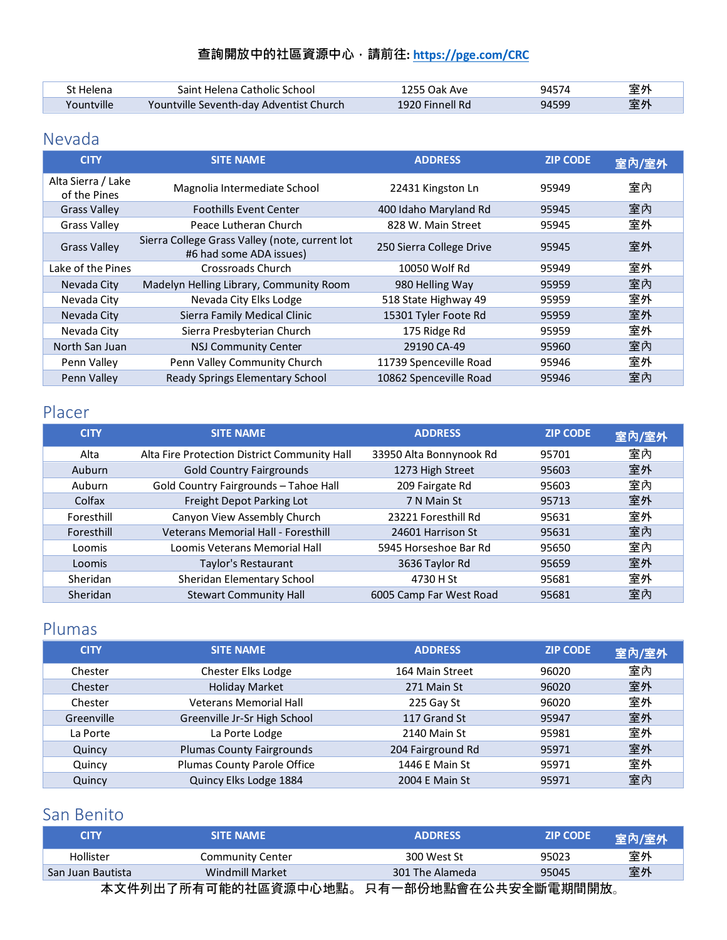| St Helena  | Saint Helena Catholic School            | 1255 Oak Ave    | 94574 | 室外 |
|------------|-----------------------------------------|-----------------|-------|----|
| Yountville | Yountville Seventh-day Adventist Church | 1920 Finnell Rd | 94599 | 室外 |

## <span id="page-8-0"></span>Nevada

| <b>CITY</b>                        | <b>SITE NAME</b>                                                          | <b>ADDRESS</b>           | <b>ZIP CODE</b> | 室內/室外 |
|------------------------------------|---------------------------------------------------------------------------|--------------------------|-----------------|-------|
| Alta Sierra / Lake<br>of the Pines | Magnolia Intermediate School                                              | 22431 Kingston Ln        | 95949           | 室內    |
| <b>Grass Valley</b>                | <b>Foothills Event Center</b>                                             | 400 Idaho Maryland Rd    | 95945           | 室內    |
| <b>Grass Valley</b>                | Peace Lutheran Church                                                     | 828 W. Main Street       | 95945           | 室外    |
| <b>Grass Valley</b>                | Sierra College Grass Valley (note, current lot<br>#6 had some ADA issues) | 250 Sierra College Drive | 95945           | 室外    |
| Lake of the Pines                  | Crossroads Church                                                         | 10050 Wolf Rd            | 95949           | 室外    |
| Nevada City                        | Madelyn Helling Library, Community Room                                   | 980 Helling Way          | 95959           | 室內    |
| Nevada City                        | Nevada City Elks Lodge                                                    | 518 State Highway 49     | 95959           | 室外    |
| Nevada City                        | Sierra Family Medical Clinic                                              | 15301 Tyler Foote Rd     | 95959           | 室外    |
| Nevada City                        | Sierra Presbyterian Church                                                | 175 Ridge Rd             | 95959           | 室外    |
| North San Juan                     | <b>NSJ Community Center</b>                                               | 29190 CA-49              | 95960           | 室內    |
| Penn Valley                        | Penn Valley Community Church                                              | 11739 Spenceville Road   | 95946           | 室外    |
| Penn Valley                        | Ready Springs Elementary School                                           | 10862 Spenceville Road   | 95946           | 室內    |

### <span id="page-8-1"></span>Placer

| <b>CITY</b>     | <b>SITE NAME</b>                             | <b>ADDRESS</b>          | <b>ZIP CODE</b> | 室內/室外 |
|-----------------|----------------------------------------------|-------------------------|-----------------|-------|
| Alta            | Alta Fire Protection District Community Hall | 33950 Alta Bonnynook Rd | 95701           | 室內    |
| Auburn          | <b>Gold Country Fairgrounds</b>              | 1273 High Street        | 95603           | 室外    |
| Auburn          | Gold Country Fairgrounds - Tahoe Hall        | 209 Fairgate Rd         | 95603           | 室內    |
| Colfax          | Freight Depot Parking Lot                    | 7 N Main St             | 95713           | 室外    |
| Foresthill      | Canyon View Assembly Church                  | 23221 Foresthill Rd     | 95631           | 室外    |
| Foresthill      | Veterans Memorial Hall - Foresthill          | 24601 Harrison St       | 95631           | 室內    |
| Loomis          | Loomis Veterans Memorial Hall                | 5945 Horseshoe Bar Rd   | 95650           | 室內    |
| Loomis          | Taylor's Restaurant                          | 3636 Taylor Rd          | 95659           | 室外    |
| <b>Sheridan</b> | Sheridan Elementary School                   | 4730 H St               | 95681           | 室外    |
| Sheridan        | <b>Stewart Community Hall</b>                | 6005 Camp Far West Road | 95681           | 室內    |

### <span id="page-8-2"></span>Plumas

| <b>CITY</b> | <b>SITE NAME</b>                 | <b>ADDRESS</b>    | <b>ZIP CODE</b> | 室內/室外 |
|-------------|----------------------------------|-------------------|-----------------|-------|
| Chester     | Chester Elks Lodge               | 164 Main Street   | 96020           | 室內    |
| Chester     | <b>Holiday Market</b>            | 271 Main St       | 96020           | 室外    |
| Chester     | <b>Veterans Memorial Hall</b>    | 225 Gay St        | 96020           | 室外    |
| Greenville  | Greenville Jr-Sr High School     | 117 Grand St      | 95947           | 室外    |
| La Porte    | La Porte Lodge                   | 2140 Main St      | 95981           | 室外    |
| Quincy      | <b>Plumas County Fairgrounds</b> | 204 Fairground Rd | 95971           | 室外    |
| Quincy      | Plumas County Parole Office      | 1446 E Main St    | 95971           | 室外    |
| Quincy      | Quincy Elks Lodge 1884           | 2004 E Main St    | 95971           | 室內    |

## <span id="page-8-3"></span>San Benito

| <b>CITY</b>         | <b>SITE NAME</b>        | <b>ADDRESS</b>      | <b>ZIP CODE</b> | 室內/室外 |
|---------------------|-------------------------|---------------------|-----------------|-------|
| Hollister           | <b>Community Center</b> | 300 West St         | 95023           | 室外    |
| San Juan Bautista   | Windmill Market         | 301 The Alameda     | 95045           | 室外    |
| 太立性别出了所有可能的社原咨酒由心地贴 |                         | 口右一部份地毗命左公土安今斷重邯閉開故 |                 |       |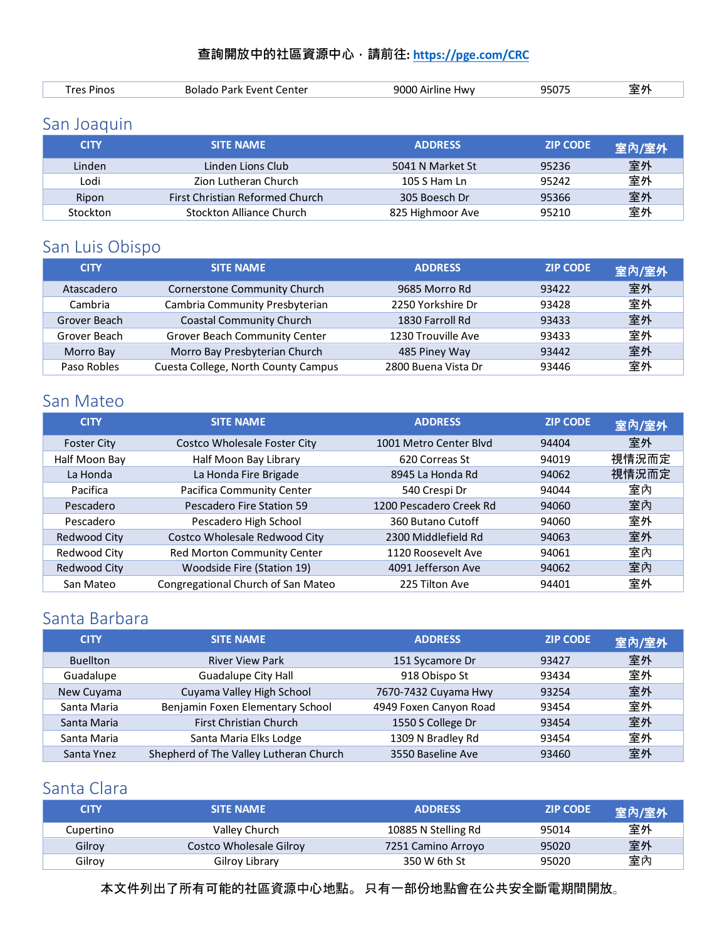| Lenter<br>. ver<br>я к | nnr<br>א≀1-<br>71 11 . | ' 1 L<br>יי |  |
|------------------------|------------------------|-------------|--|
|                        |                        |             |  |

# <span id="page-9-0"></span>San Joaquin

| <b>CITY</b> | <b>SITE NAME</b>                | <b>ADDRESS</b>   | <b>ZIP CODE</b> | 室內/室外 |
|-------------|---------------------------------|------------------|-----------------|-------|
| Linden      | Linden Lions Club               | 5041 N Market St | 95236           | 室外    |
| Lodi        | Zion Lutheran Church            | 105 S Ham Ln     | 95242           | 室外    |
| Ripon       | First Christian Reformed Church | 305 Boesch Dr    | 95366           | 室外    |
| Stockton    | Stockton Alliance Church        | 825 Highmoor Ave | 95210           | 室外    |

# <span id="page-9-1"></span>San Luis Obispo

| <b>CITY</b>  | <b>SITE NAME</b>                    | <b>ADDRESS</b>      | <b>ZIP CODE</b> | 室內/室外 |
|--------------|-------------------------------------|---------------------|-----------------|-------|
| Atascadero   | Cornerstone Community Church        | 9685 Morro Rd       | 93422           | 室外    |
| Cambria      | Cambria Community Presbyterian      | 2250 Yorkshire Dr   | 93428           | 室外    |
| Grover Beach | <b>Coastal Community Church</b>     | 1830 Farroll Rd     | 93433           | 室外    |
| Grover Beach | Grover Beach Community Center       | 1230 Trouville Ave  | 93433           | 室外    |
| Morro Bay    | Morro Bay Presbyterian Church       | 485 Piney Way       | 93442           | 室外    |
| Paso Robles  | Cuesta College, North County Campus | 2800 Buena Vista Dr | 93446           | 室外    |

### <span id="page-9-2"></span>San Mateo

| <b>CITY</b>        | <b>SITE NAME</b>                   | <b>ADDRESS</b>          | <b>ZIP CODE</b> | 室內/室外 |
|--------------------|------------------------------------|-------------------------|-----------------|-------|
| <b>Foster City</b> | Costco Wholesale Foster City       | 1001 Metro Center Blyd  | 94404           | 室外    |
| Half Moon Bay      | Half Moon Bay Library              | 620 Correas St          | 94019           | 視情況而定 |
| La Honda           | La Honda Fire Brigade              | 8945 La Honda Rd        | 94062           | 視情況而定 |
| Pacifica           | Pacifica Community Center          | 540 Crespi Dr           | 94044           | 室內    |
| Pescadero          | Pescadero Fire Station 59          | 1200 Pescadero Creek Rd | 94060           | 室内    |
| Pescadero          | Pescadero High School              | 360 Butano Cutoff       | 94060           | 室外    |
| Redwood City       | Costco Wholesale Redwood City      | 2300 Middlefield Rd     | 94063           | 室外    |
| Redwood City       | Red Morton Community Center        | 1120 Roosevelt Ave      | 94061           | 室內    |
| Redwood City       | Woodside Fire (Station 19)         | 4091 Jefferson Ave      | 94062           | 室內    |
| San Mateo          | Congregational Church of San Mateo | 225 Tilton Ave          | 94401           | 室外    |

# <span id="page-9-3"></span>Santa Barbara

| <b>CITY</b>     | <b>SITE NAME</b>                       | <b>ADDRESS</b>         | <b>ZIP CODE</b> | 室內/室外 |
|-----------------|----------------------------------------|------------------------|-----------------|-------|
| <b>Buellton</b> | <b>River View Park</b>                 | 151 Sycamore Dr        | 93427           | 室外    |
| Guadalupe       | <b>Guadalupe City Hall</b>             | 918 Obispo St          | 93434           | 室外    |
| New Cuyama      | Cuyama Valley High School              | 7670-7432 Cuyama Hwy   | 93254           | 室外    |
| Santa Maria     | Benjamin Foxen Elementary School       | 4949 Foxen Canyon Road | 93454           | 室外    |
| Santa Maria     | <b>First Christian Church</b>          | 1550 S College Dr      | 93454           | 室外    |
| Santa Maria     | Santa Maria Elks Lodge                 | 1309 N Bradley Rd      | 93454           | 室外    |
| Santa Ynez      | Shepherd of The Valley Lutheran Church | 3550 Baseline Ave      | 93460           | 室外    |

## <span id="page-9-4"></span>Santa Clara

| <b>CITY</b> | <b>SITE NAME</b>        | <b>ADDRESS</b>      | <b>ZIP CODE</b> | 室內/室外 |
|-------------|-------------------------|---------------------|-----------------|-------|
| Cupertino   | Valley Church           | 10885 N Stelling Rd | 95014           | 室外    |
| Gilroy      | Costco Wholesale Gilroy | 7251 Camino Arroyo  | 95020           | 室外    |
| Gilroy      | Gilroy Library          | 350 W 6th St        | 95020           | 室內    |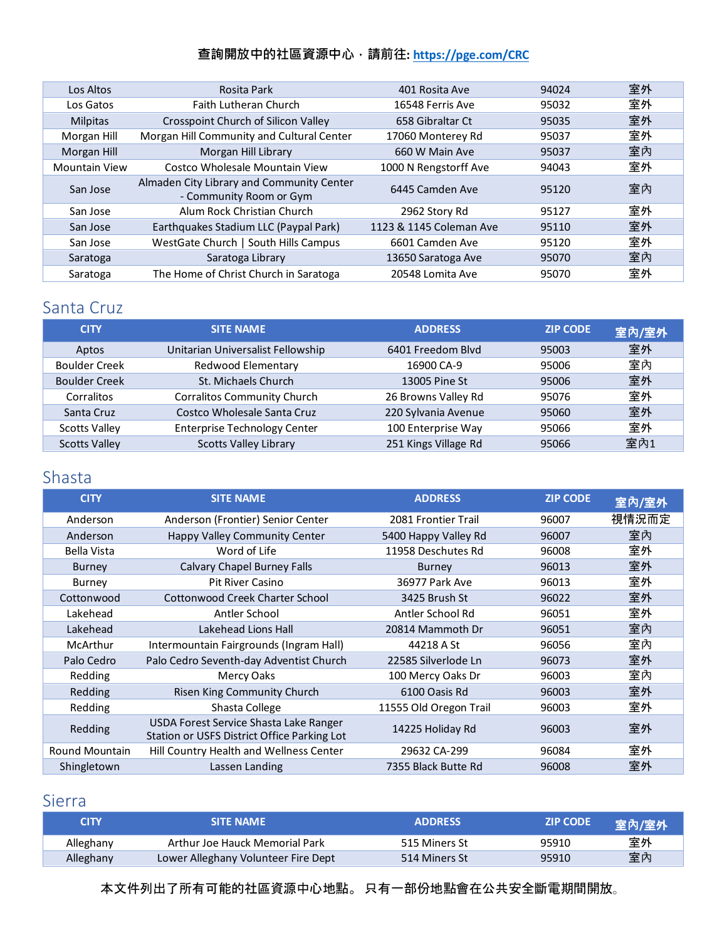| Los Altos            | Rosita Park                                                          | 401 Rosita Ave          | 94024 | 室外 |
|----------------------|----------------------------------------------------------------------|-------------------------|-------|----|
| Los Gatos            | <b>Faith Lutheran Church</b>                                         | 16548 Ferris Ave        | 95032 | 室外 |
| <b>Milpitas</b>      | Crosspoint Church of Silicon Valley                                  | 658 Gibraltar Ct        | 95035 | 室外 |
| Morgan Hill          | Morgan Hill Community and Cultural Center                            | 17060 Monterey Rd       | 95037 | 室外 |
| Morgan Hill          | Morgan Hill Library                                                  | 660 W Main Ave          | 95037 | 室內 |
| <b>Mountain View</b> | Costco Wholesale Mountain View                                       | 1000 N Rengstorff Ave   | 94043 | 室外 |
| San Jose             | Almaden City Library and Community Center<br>- Community Room or Gym | 6445 Camden Ave         | 95120 | 室內 |
| San Jose             | Alum Rock Christian Church                                           | 2962 Story Rd           | 95127 | 室外 |
| San Jose             | Earthquakes Stadium LLC (Paypal Park)                                | 1123 & 1145 Coleman Ave | 95110 | 室外 |
| San Jose             | WestGate Church   South Hills Campus                                 | 6601 Camden Ave         | 95120 | 室外 |
| Saratoga             | Saratoga Library                                                     | 13650 Saratoga Ave      | 95070 | 室內 |
| Saratoga             | The Home of Christ Church in Saratoga                                | 20548 Lomita Ave        | 95070 | 室外 |

# <span id="page-10-0"></span>Santa Cruz

| <b>CITY</b>          | <b>SITE NAME</b>                    | <b>ADDRESS</b>       | <b>ZIP CODE</b> | 室內/室外 |
|----------------------|-------------------------------------|----------------------|-----------------|-------|
| Aptos                | Unitarian Universalist Fellowship   | 6401 Freedom Blvd    | 95003           | 室外    |
| <b>Boulder Creek</b> | Redwood Elementary                  | 16900 CA-9           | 95006           | 室內    |
| <b>Boulder Creek</b> | St. Michaels Church                 | 13005 Pine St        | 95006           | 室外    |
| Corralitos           | <b>Corralitos Community Church</b>  | 26 Browns Valley Rd  | 95076           | 室外    |
| Santa Cruz           | Costco Wholesale Santa Cruz         | 220 Sylvania Avenue  | 95060           | 室外    |
| <b>Scotts Valley</b> | <b>Enterprise Technology Center</b> | 100 Enterprise Way   | 95066           | 室外    |
| <b>Scotts Valley</b> | <b>Scotts Valley Library</b>        | 251 Kings Village Rd | 95066           | 室内1   |

## <span id="page-10-1"></span>Shasta

| <b>CITY</b>           | <b>SITE NAME</b>                                                                      | <b>ADDRESS</b>         | <b>ZIP CODE</b> | 室內/室外 |
|-----------------------|---------------------------------------------------------------------------------------|------------------------|-----------------|-------|
| Anderson              | Anderson (Frontier) Senior Center                                                     | 2081 Frontier Trail    | 96007           | 視情況而定 |
| Anderson              | Happy Valley Community Center                                                         | 5400 Happy Valley Rd   | 96007           | 室內    |
| Bella Vista           | Word of Life                                                                          | 11958 Deschutes Rd     | 96008           | 室外    |
| Burney                | <b>Calvary Chapel Burney Falls</b>                                                    | Burney                 | 96013           | 室外    |
| Burney                | <b>Pit River Casino</b>                                                               | 36977 Park Ave         | 96013           | 室外    |
| Cottonwood            | Cottonwood Creek Charter School                                                       | 3425 Brush St          | 96022           | 室外    |
| Lakehead              | Antler School                                                                         | Antler School Rd       | 96051           | 室外    |
| Lakehead              | Lakehead Lions Hall                                                                   | 20814 Mammoth Dr       | 96051           | 室內    |
| McArthur              | Intermountain Fairgrounds (Ingram Hall)                                               | 44218 A St             | 96056           | 室內    |
| Palo Cedro            | Palo Cedro Seventh-day Adventist Church                                               | 22585 Silverlode Ln    | 96073           | 室外    |
| Redding               | Mercy Oaks                                                                            | 100 Mercy Oaks Dr      | 96003           | 室內    |
| Redding               | Risen King Community Church                                                           | 6100 Oasis Rd          | 96003           | 室外    |
| Redding               | Shasta College                                                                        | 11555 Old Oregon Trail | 96003           | 室外    |
| Redding               | USDA Forest Service Shasta Lake Ranger<br>Station or USFS District Office Parking Lot | 14225 Holiday Rd       | 96003           | 室外    |
| <b>Round Mountain</b> | Hill Country Health and Wellness Center                                               | 29632 CA-299           | 96084           | 室外    |
| Shingletown           | Lassen Landing                                                                        | 7355 Black Butte Rd    | 96008           | 室外    |

## <span id="page-10-2"></span>Sierra

| CITY      | SITE NAME                           | <b>ADDRESS</b> | <b>ZIP CODE</b> | 室內/室外 |
|-----------|-------------------------------------|----------------|-----------------|-------|
| Alleghany | Arthur Joe Hauck Memorial Park      | 515 Miners St  | 95910           | 室外    |
| Alleghany | Lower Alleghany Volunteer Fire Dept | 514 Miners St  | 95910           | 室內    |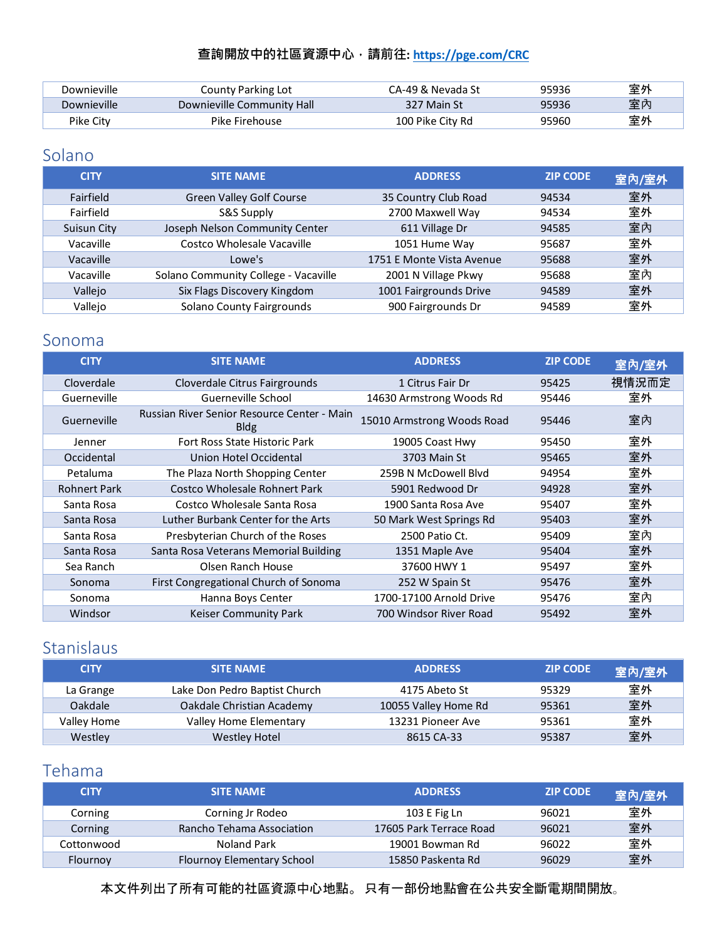| Downieville | County Parking Lot         | CA-49 & Nevada St | 95936 | 室外 |
|-------------|----------------------------|-------------------|-------|----|
| Downieville | Downieville Community Hall | 327 Main St       | 95936 | 室内 |
| Pike Citv   | Pike Firehouse             | 100 Pike City Rd  | 95960 | 室外 |

## <span id="page-11-0"></span>Solano

| <b>CITY</b>      | <b>SITE NAME</b>                     | <b>ADDRESS</b>            | <b>ZIP CODE</b> | 室內/室外 |
|------------------|--------------------------------------|---------------------------|-----------------|-------|
| <b>Fairfield</b> | <b>Green Valley Golf Course</b>      | 35 Country Club Road      | 94534           | 室外    |
| Fairfield        | S&S Supply                           | 2700 Maxwell Way          | 94534           | 室外    |
| Suisun City      | Joseph Nelson Community Center       | 611 Village Dr            | 94585           | 室內    |
| Vacaville        | Costco Wholesale Vacaville           | 1051 Hume Way             | 95687           | 室外    |
| Vacaville        | Lowe's                               | 1751 E Monte Vista Avenue | 95688           | 室外    |
| Vacaville        | Solano Community College - Vacaville | 2001 N Village Pkwy       | 95688           | 室內    |
| Vallejo          | Six Flags Discovery Kingdom          | 1001 Fairgrounds Drive    | 94589           | 室外    |
| Vallejo          | Solano County Fairgrounds            | 900 Fairgrounds Dr        | 94589           | 室外    |

#### <span id="page-11-1"></span>Sonoma

| <b>CITY</b>         | <b>SITE NAME</b>                                           | <b>ADDRESS</b>             | <b>ZIP CODE</b> | 室內/室外 |
|---------------------|------------------------------------------------------------|----------------------------|-----------------|-------|
| Cloverdale          | Cloverdale Citrus Fairgrounds                              | 1 Citrus Fair Dr           | 95425           | 視情況而定 |
| Guerneville         | Guerneville School                                         | 14630 Armstrong Woods Rd   | 95446           | 室外    |
| Guerneville         | Russian River Senior Resource Center - Main<br><b>Bldg</b> | 15010 Armstrong Woods Road | 95446           | 室内    |
| Jenner              | Fort Ross State Historic Park                              | 19005 Coast Hwy            | 95450           | 室外    |
| Occidental          | Union Hotel Occidental                                     | 3703 Main St               | 95465           | 室外    |
| Petaluma            | The Plaza North Shopping Center                            | 259B N McDowell Blyd       | 94954           | 室外    |
| <b>Rohnert Park</b> | Costco Wholesale Rohnert Park                              | 5901 Redwood Dr            | 94928           | 室外    |
| Santa Rosa          | Costco Wholesale Santa Rosa                                | 1900 Santa Rosa Ave        | 95407           | 室外    |
| Santa Rosa          | Luther Burbank Center for the Arts                         | 50 Mark West Springs Rd    | 95403           | 室外    |
| Santa Rosa          | Presbyterian Church of the Roses                           | 2500 Patio Ct.             | 95409           | 室內    |
| Santa Rosa          | Santa Rosa Veterans Memorial Building                      | 1351 Maple Ave             | 95404           | 室外    |
| Sea Ranch           | Olsen Ranch House                                          | 37600 HWY 1                | 95497           | 室外    |
| Sonoma              | First Congregational Church of Sonoma                      | 252 W Spain St             | 95476           | 室外    |
| Sonoma              | Hanna Boys Center                                          | 1700-17100 Arnold Drive    | 95476           | 室內    |
| Windsor             | Keiser Community Park                                      | 700 Windsor River Road     | 95492           | 室外    |

## <span id="page-11-2"></span>Stanislaus

| <b>CITY</b> | <b>SITE NAME</b>              | <b>ADDRESS</b>       | <b>ZIP CODE</b> | 室內/室外 |
|-------------|-------------------------------|----------------------|-----------------|-------|
| La Grange   | Lake Don Pedro Baptist Church | 4175 Abeto St        | 95329           | 室外    |
| Oakdale     | Oakdale Christian Academy     | 10055 Valley Home Rd | 95361           | 室外    |
| Valley Home | Valley Home Elementary        | 13231 Pioneer Ave    | 95361           | 室外    |
| Westley     | <b>Westley Hotel</b>          | 8615 CA-33           | 95387           | 室外    |

### <span id="page-11-3"></span>Tehama

| <b>CITY</b> | <b>SITE NAME</b>           | <b>ADDRESS</b>          | <b>ZIP CODE</b> | 室內/室外 |
|-------------|----------------------------|-------------------------|-----------------|-------|
| Corning     | Corning Jr Rodeo           | 103 E Fig Ln            | 96021           | 室外    |
| Corning     | Rancho Tehama Association  | 17605 Park Terrace Road | 96021           | 室外    |
| Cottonwood  | Noland Park                | 19001 Bowman Rd         | 96022           | 室外    |
| Flournov    | Flournoy Elementary School | 15850 Paskenta Rd       | 96029           | 室外    |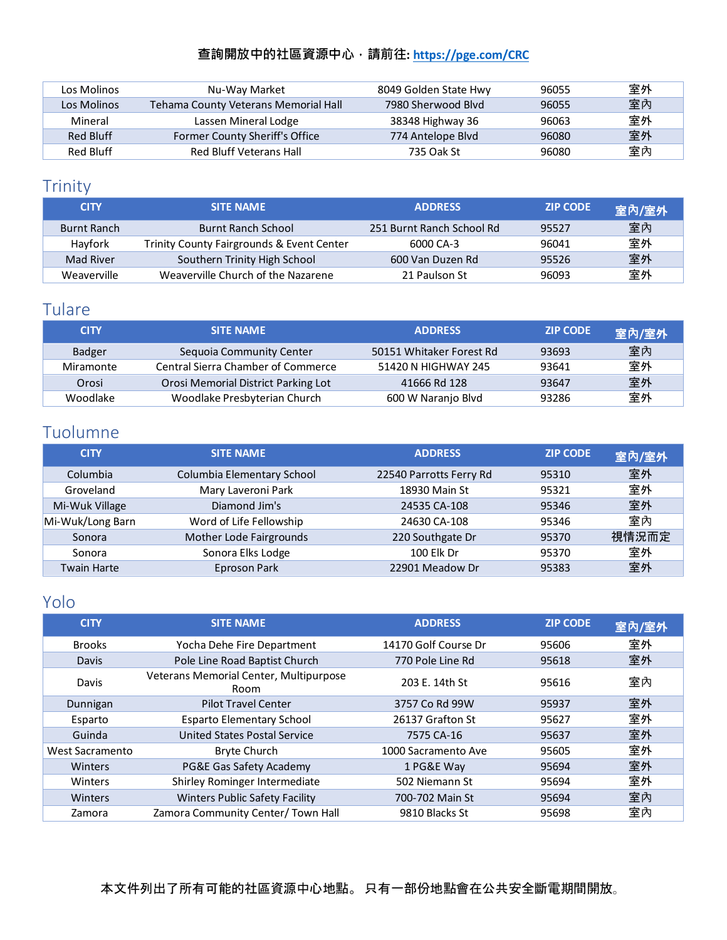| Los Molinos | Nu-Way Market                        | 8049 Golden State Hwy | 96055 | 室外 |
|-------------|--------------------------------------|-----------------------|-------|----|
| Los Molinos | Tehama County Veterans Memorial Hall | 7980 Sherwood Blyd    | 96055 | 室內 |
| Mineral     | Lassen Mineral Lodge                 | 38348 Highway 36      | 96063 | 室外 |
| Red Bluff   | Former County Sheriff's Office       | 774 Antelope Blvd     | 96080 | 室外 |
| Red Bluff   | Red Bluff Veterans Hall              | 735 Oak St            | 96080 | 室內 |

# <span id="page-12-0"></span>Trinity

| <b>CITY</b>        | <b>SITE NAME</b>                          | <b>ADDRESS</b>            | <b>ZIP CODE</b> | 室內/室外 |
|--------------------|-------------------------------------------|---------------------------|-----------------|-------|
| <b>Burnt Ranch</b> | <b>Burnt Ranch School</b>                 | 251 Burnt Ranch School Rd | 95527           | 室內    |
| Hayfork            | Trinity County Fairgrounds & Event Center | 6000 CA-3                 | 96041           | 室外    |
| Mad River          | Southern Trinity High School              | 600 Van Duzen Rd          | 95526           | 室外    |
| Weaverville        | Weaverville Church of the Nazarene        | 21 Paulson St             | 96093           | 室外    |

# <span id="page-12-1"></span>Tulare

| <b>CITY</b> | <b>SITE NAME</b>                    | <b>ADDRESS</b>           | <b>ZIP CODE</b> | 室內/室外 |
|-------------|-------------------------------------|--------------------------|-----------------|-------|
| Badger      | Sequoia Community Center            | 50151 Whitaker Forest Rd | 93693           | 室內    |
| Miramonte   | Central Sierra Chamber of Commerce  | 51420 N HIGHWAY 245      | 93641           | 室外    |
| Orosi       | Orosi Memorial District Parking Lot | 41666 Rd 128             | 93647           | 室外    |
| Woodlake    | Woodlake Presbyterian Church        | 600 W Naranjo Blvd       | 93286           | 室外    |

# <span id="page-12-2"></span>Tuolumne

| <b>CITY</b>        | <b>SITE NAME</b>           | <b>ADDRESS</b>          | <b>ZIP CODE</b> | 室內/室外 |
|--------------------|----------------------------|-------------------------|-----------------|-------|
| Columbia           | Columbia Elementary School | 22540 Parrotts Ferry Rd | 95310           | 室外    |
| Groveland          | Mary Laveroni Park         | 18930 Main St           | 95321           | 室外    |
| Mi-Wuk Village     | Diamond Jim's              | 24535 CA-108            | 95346           | 室外    |
| Mi-Wuk/Long Barn   | Word of Life Fellowship    | 24630 CA-108            | 95346           | 室內    |
| Sonora             | Mother Lode Fairgrounds    | 220 Southgate Dr        | 95370           | 視情況而定 |
| Sonora             | Sonora Elks Lodge          | 100 Elk Dr              | 95370           | 室外    |
| <b>Twain Harte</b> | Eproson Park               | 22901 Meadow Dr         | 95383           | 室外    |

# <span id="page-12-3"></span>Yolo

| <b>CITY</b>     | <b>SITE NAME</b>                               | <b>ADDRESS</b>       | <b>ZIP CODE</b> | 室內/室外 |
|-----------------|------------------------------------------------|----------------------|-----------------|-------|
| <b>Brooks</b>   | Yocha Dehe Fire Department                     | 14170 Golf Course Dr | 95606           | 室外    |
| <b>Davis</b>    | Pole Line Road Baptist Church                  | 770 Pole Line Rd     | 95618           | 室外    |
| Davis           | Veterans Memorial Center, Multipurpose<br>Room | 203 E. 14th St       | 95616           | 室內    |
| Dunnigan        | <b>Pilot Travel Center</b>                     | 3757 Co Rd 99W       | 95937           | 室外    |
| Esparto         | <b>Esparto Elementary School</b>               | 26137 Grafton St     | 95627           | 室外    |
| Guinda          | <b>United States Postal Service</b>            | 7575 CA-16           | 95637           | 室外    |
| West Sacramento | <b>Bryte Church</b>                            | 1000 Sacramento Ave  | 95605           | 室外    |
| Winters         | PG&E Gas Safety Academy                        | 1 PG&E Way           | 95694           | 室外    |
| Winters         | Shirley Rominger Intermediate                  | 502 Niemann St       | 95694           | 室外    |
| Winters         | <b>Winters Public Safety Facility</b>          | 700-702 Main St      | 95694           | 室內    |
| Zamora          | Zamora Community Center/ Town Hall             | 9810 Blacks St       | 95698           | 室內    |